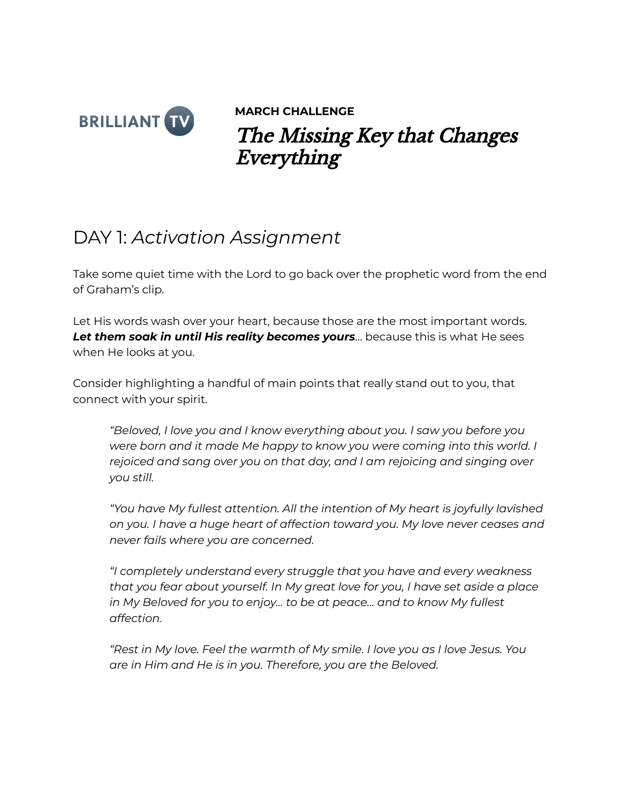

**MARCH CHALLENGE** The Missing Key that Changes Everything

## DAY 1: *Activation Assignment*

Take some quiet time with the Lord to go back over the prophetic word from the end of Graham's clip.

Let His words wash over your heart, because those are the most important words. *Let them soak in until His reality becomes yours*… because this is what He sees when He looks at you.

Consider highlighting a handful of main points that really stand out to you, that connect with your spirit.

*"Beloved, I love you and I know everything about you. I saw you before you were born and it made Me happy to know you were coming into this world. I rejoiced and sang over you on that day, and I am rejoicing and singing over you still.*

*"You have My fullest attention. All the intention of My heart is joyfully lavished on you. I have a huge heart of affection toward you. My love never ceases and never fails where you are concerned.*

*"I completely understand every struggle that you have and every weakness that you fear about yourself. In My great love for you, I have set aside a place in My Beloved for you to enjoy… to be at peace… and to know My fullest affection.*

*"Rest in My love. Feel the warmth of My smile. I love you as I love Jesus. You are in Him and He is in you. Therefore, you are the Beloved.*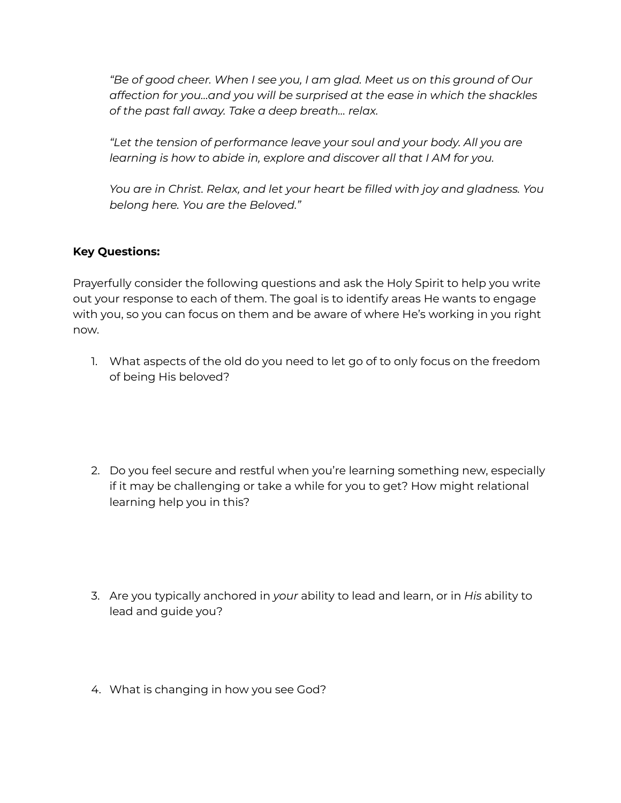*"Be of good cheer. When I see you, I am glad. Meet us on this ground of Our affection for you…and you will be surprised at the ease in which the shackles of the past fall away. Take a deep breath… relax.*

*"Let the tension of performance leave your soul and your body. All you are learning is how to abide in, explore and discover all that I AM for you.*

*You are in Christ. Relax, and let your heart be filled with joy and gladness. You belong here. You are the Beloved."*

## **Key Questions:**

Prayerfully consider the following questions and ask the Holy Spirit to help you write out your response to each of them. The goal is to identify areas He wants to engage with you, so you can focus on them and be aware of where He's working in you right now.

- 1. What aspects of the old do you need to let go of to only focus on the freedom of being His beloved?
- 2. Do you feel secure and restful when you're learning something new, especially if it may be challenging or take a while for you to get? How might relational learning help you in this?
- 3. Are you typically anchored in *your* ability to lead and learn, or in *His* ability to lead and guide you?
- 4. What is changing in how you see God?